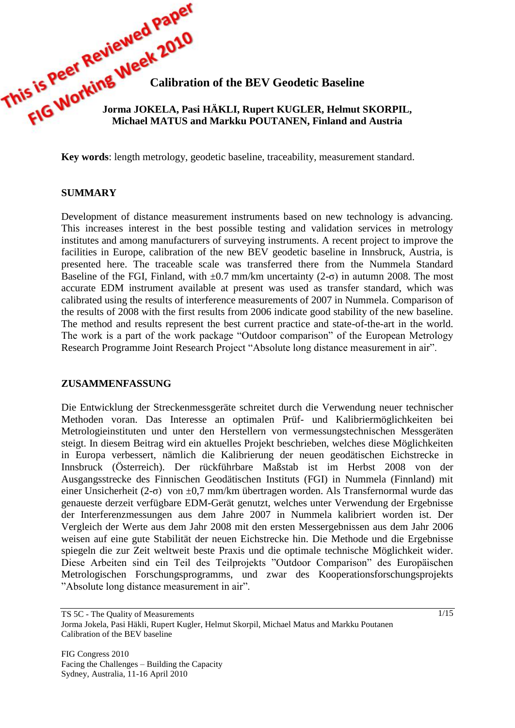**This is Peer Keep Week 2014**<br>This is Peer King Week Calibration of the BEV Geodetic Baseline<br>FIG WORKING JOFFELA. Paci IT THE **Jorma JOKELA, Pasi HÄKLI, Rupert KUGLER, Helmut SKORPIL, Michael MATUS and Markku POUTANEN, Finland and Austria**

**Key words**: length metrology, geodetic baseline, traceability, measurement standard.

#### **SUMMARY**

Development of distance measurement instruments based on new technology is advancing. This increases interest in the best possible testing and validation services in metrology institutes and among manufacturers of surveying instruments. A recent project to improve the facilities in Europe, calibration of the new BEV geodetic baseline in Innsbruck, Austria, is presented here. The traceable scale was transferred there from the Nummela Standard Baseline of the FGI, Finland, with  $\pm 0.7$  mm/km uncertainty (2- $\sigma$ ) in autumn 2008. The most accurate EDM instrument available at present was used as transfer standard, which was calibrated using the results of interference measurements of 2007 in Nummela. Comparison of the results of 2008 with the first results from 2006 indicate good stability of the new baseline. The method and results represent the best current practice and state-of-the-art in the world. The work is a part of the work package "Outdoor comparison" of the European Metrology Research Programme Joint Research Project "Absolute long distance measurement in air".

#### **ZUSAMMENFASSUNG**

Die Entwicklung der Streckenmessgeräte schreitet durch die Verwendung neuer technischer Methoden voran. Das Interesse an optimalen Prüf- und Kalibriermöglichkeiten bei Metrologieinstituten und unter den Herstellern von vermessungstechnischen Messgeräten steigt. In diesem Beitrag wird ein aktuelles Projekt beschrieben, welches diese Möglichkeiten in Europa verbessert, nämlich die Kalibrierung der neuen geodätischen Eichstrecke in Innsbruck (Österreich). Der rückführbare Maßstab ist im Herbst 2008 von der Ausgangsstrecke des Finnischen Geodätischen Instituts (FGI) in Nummela (Finnland) mit einer Unsicherheit (2- $\sigma$ ) von  $\pm 0.7$  mm/km übertragen worden. Als Transfernormal wurde das genaueste derzeit verfügbare EDM-Gerät genutzt, welches unter Verwendung der Ergebnisse der Interferenzmessungen aus dem Jahre 2007 in Nummela kalibriert worden ist. Der Vergleich der Werte aus dem Jahr 2008 mit den ersten Messergebnissen aus dem Jahr 2006 weisen auf eine gute Stabilität der neuen Eichstrecke hin. Die Methode und die Ergebnisse spiegeln die zur Zeit weltweit beste Praxis und die optimale technische Möglichkeit wider. Diese Arbeiten sind ein Teil des Teilprojekts "Outdoor Comparison" des Europäischen Metrologischen Forschungsprogramms, und zwar des Kooperationsforschungsprojekts "Absolute long distance measurement in air".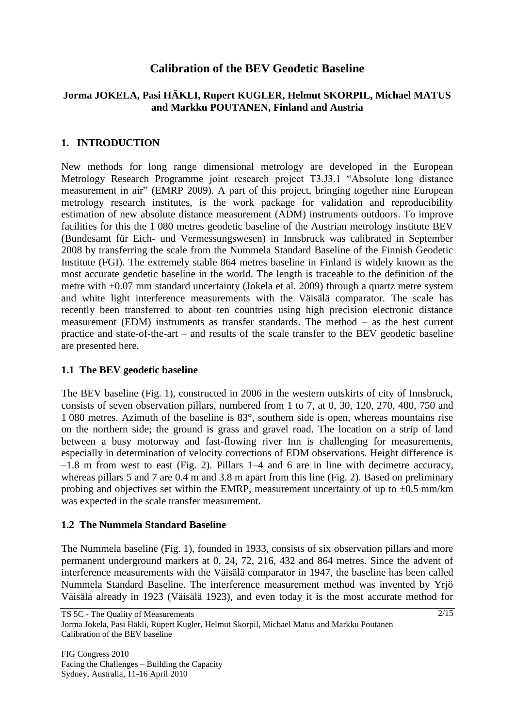# **Calibration of the BEV Geodetic Baseline**

## **Jorma JOKELA, Pasi HÄKLI, Rupert KUGLER, Helmut SKORPIL, Michael MATUS and Markku POUTANEN, Finland and Austria**

## **1. INTRODUCTION**

New methods for long range dimensional metrology are developed in the European Metrology Research Programme joint research project T3.J3.1 "Absolute long distance measurement in air" (EMRP 2009). A part of this project, bringing together nine European metrology research institutes, is the work package for validation and reproducibility estimation of new absolute distance measurement (ADM) instruments outdoors. To improve facilities for this the 1 080 metres geodetic baseline of the Austrian metrology institute BEV (Bundesamt für Eich- und Vermessungswesen) in Innsbruck was calibrated in September 2008 by transferring the scale from the Nummela Standard Baseline of the Finnish Geodetic Institute (FGI). The extremely stable 864 metres baseline in Finland is widely known as the most accurate geodetic baseline in the world. The length is traceable to the definition of the metre with  $\pm 0.07$  mm standard uncertainty (Jokela et al. 2009) through a quartz metre system and white light interference measurements with the Väisälä comparator. The scale has recently been transferred to about ten countries using high precision electronic distance measurement (EDM) instruments as transfer standards. The method – as the best current practice and state-of-the-art – and results of the scale transfer to the BEV geodetic baseline are presented here.

## **1.1 The BEV geodetic baseline**

The BEV baseline (Fig. 1), constructed in 2006 in the western outskirts of city of Innsbruck, consists of seven observation pillars, numbered from 1 to 7, at 0, 30, 120, 270, 480, 750 and 1 080 metres. Azimuth of the baseline is 83°, southern side is open, whereas mountains rise on the northern side; the ground is grass and gravel road. The location on a strip of land between a busy motorway and fast-flowing river Inn is challenging for measurements, especially in determination of velocity corrections of EDM observations. Height difference is –1.8 m from west to east (Fig. 2). Pillars 1–4 and 6 are in line with decimetre accuracy, whereas pillars 5 and 7 are 0.4 m and 3.8 m apart from this line (Fig. 2). Based on preliminary probing and objectives set within the EMRP, measurement uncertainty of up to  $\pm 0.5$  mm/km was expected in the scale transfer measurement.

## **1.2 The Nummela Standard Baseline**

The Nummela baseline (Fig. 1), founded in 1933, consists of six observation pillars and more permanent underground markers at 0, 24, 72, 216, 432 and 864 metres. Since the advent of interference measurements with the Väisälä comparator in 1947, the baseline has been called Nummela Standard Baseline. The interference measurement method was invented by Yrjö Väisälä already in 1923 (Väisälä 1923), and even today it is the most accurate method for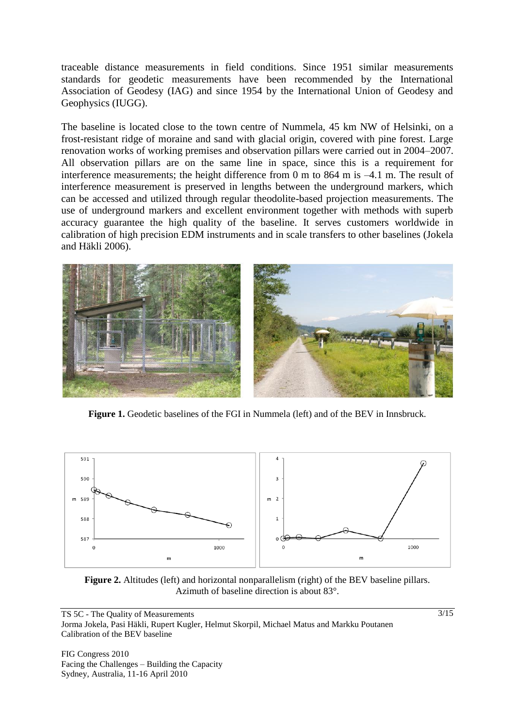traceable distance measurements in field conditions. Since 1951 similar measurements standards for geodetic measurements have been recommended by the International Association of Geodesy (IAG) and since 1954 by the International Union of Geodesy and Geophysics (IUGG).

The baseline is located close to the town centre of Nummela, 45 km NW of Helsinki, on a frost-resistant ridge of moraine and sand with glacial origin, covered with pine forest. Large renovation works of working premises and observation pillars were carried out in 2004–2007. All observation pillars are on the same line in space, since this is a requirement for interference measurements; the height difference from 0 m to 864 m is –4.1 m. The result of interference measurement is preserved in lengths between the underground markers, which can be accessed and utilized through regular theodolite-based projection measurements. The use of underground markers and excellent environment together with methods with superb accuracy guarantee the high quality of the baseline. It serves customers worldwide in calibration of high precision EDM instruments and in scale transfers to other baselines (Jokela and Häkli 2006).



**Figure 1.** Geodetic baselines of the FGI in Nummela (left) and of the BEV in Innsbruck.



**Figure 2.** Altitudes (left) and horizontal nonparallelism (right) of the BEV baseline pillars. Azimuth of baseline direction is about 83°.

TS 5C - The Quality of Measurements Jorma Jokela, Pasi Häkli, Rupert Kugler, Helmut Skorpil, Michael Matus and Markku Poutanen Calibration of the BEV baseline

FIG Congress 2010 Facing the Challenges – Building the Capacity Sydney, Australia, 11-16 April 2010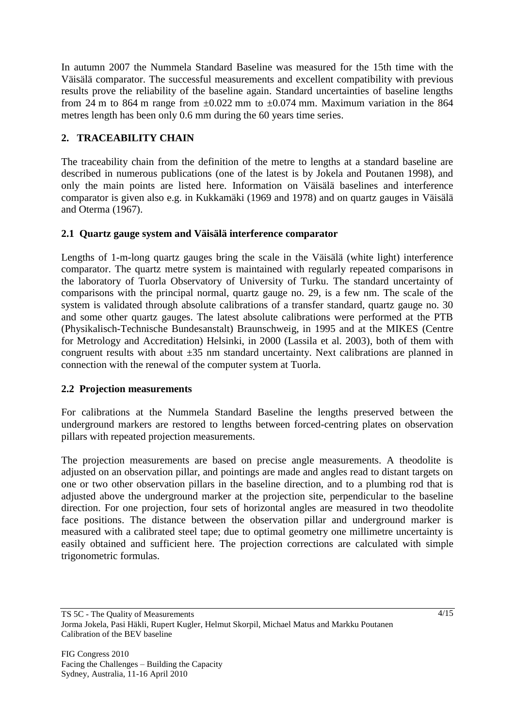In autumn 2007 the Nummela Standard Baseline was measured for the 15th time with the Väisälä comparator. The successful measurements and excellent compatibility with previous results prove the reliability of the baseline again. Standard uncertainties of baseline lengths from 24 m to 864 m range from  $\pm 0.022$  mm to  $\pm 0.074$  mm. Maximum variation in the 864 metres length has been only 0.6 mm during the 60 years time series.

# **2. TRACEABILITY CHAIN**

The traceability chain from the definition of the metre to lengths at a standard baseline are described in numerous publications (one of the latest is by Jokela and Poutanen 1998), and only the main points are listed here. Information on Väisälä baselines and interference comparator is given also e.g. in Kukkamäki (1969 and 1978) and on quartz gauges in Väisälä and Oterma (1967).

## **2.1 Quartz gauge system and Väisälä interference comparator**

Lengths of 1-m-long quartz gauges bring the scale in the Väisälä (white light) interference comparator. The quartz metre system is maintained with regularly repeated comparisons in the laboratory of Tuorla Observatory of University of Turku. The standard uncertainty of comparisons with the principal normal, quartz gauge no. 29, is a few nm. The scale of the system is validated through absolute calibrations of a transfer standard, quartz gauge no. 30 and some other quartz gauges. The latest absolute calibrations were performed at the PTB (Physikalisch-Technische Bundesanstalt) Braunschweig, in 1995 and at the MIKES (Centre for Metrology and Accreditation) Helsinki, in 2000 (Lassila et al. 2003), both of them with congruent results with about  $\pm 35$  nm standard uncertainty. Next calibrations are planned in connection with the renewal of the computer system at Tuorla.

# **2.2 Projection measurements**

For calibrations at the Nummela Standard Baseline the lengths preserved between the underground markers are restored to lengths between forced-centring plates on observation pillars with repeated projection measurements.

The projection measurements are based on precise angle measurements. A theodolite is adjusted on an observation pillar, and pointings are made and angles read to distant targets on one or two other observation pillars in the baseline direction, and to a plumbing rod that is adjusted above the underground marker at the projection site, perpendicular to the baseline direction. For one projection, four sets of horizontal angles are measured in two theodolite face positions. The distance between the observation pillar and underground marker is measured with a calibrated steel tape; due to optimal geometry one millimetre uncertainty is easily obtained and sufficient here. The projection corrections are calculated with simple trigonometric formulas.

TS 5C - The Quality of Measurements Jorma Jokela, Pasi Häkli, Rupert Kugler, Helmut Skorpil, Michael Matus and Markku Poutanen Calibration of the BEV baseline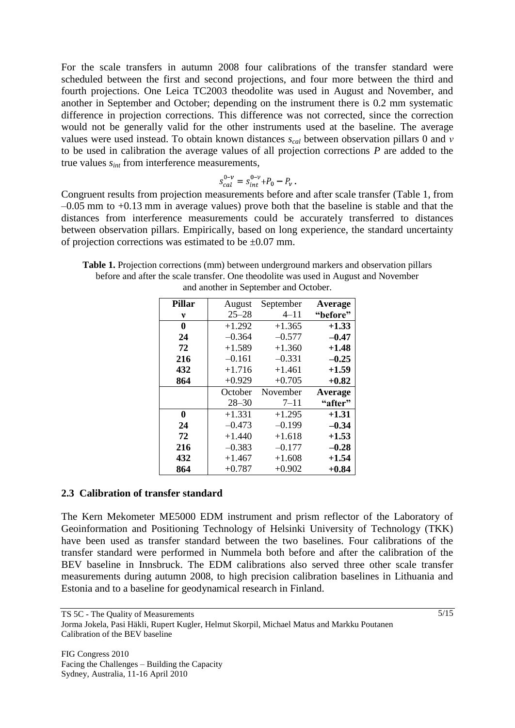For the scale transfers in autumn 2008 four calibrations of the transfer standard were scheduled between the first and second projections, and four more between the third and fourth projections. One Leica TC2003 theodolite was used in August and November, and another in September and October; depending on the instrument there is 0.2 mm systematic difference in projection corrections. This difference was not corrected, since the correction would not be generally valid for the other instruments used at the baseline. The average values were used instead. To obtain known distances *scal* between observation pillars 0 and *ν* to be used in calibration the average values of all projection corrections *P* are added to the true values *sint* from interference measurements,

$$
s_{cal}^{0-\nu} = s_{int}^{0-\nu} + P_0 - P_\nu
$$

Congruent results from projection measurements before and after scale transfer (Table 1, from –0.05 mm to +0.13 mm in average values) prove both that the baseline is stable and that the distances from interference measurements could be accurately transferred to distances between observation pillars. Empirically, based on long experience, the standard uncertainty of projection corrections was estimated to be  $\pm 0.07$  mm.

**Table 1.** Projection corrections (mm) between underground markers and observation pillars before and after the scale transfer. One theodolite was used in August and November and another in September and October.

| Pillar | August    | September | Average  |
|--------|-----------|-----------|----------|
| v      | $25 - 28$ | $4 - 11$  | "before" |
| 0      | $+1.292$  | $+1.365$  | $+1.33$  |
| 24     | $-0.364$  | $-0.577$  | $-0.47$  |
| 72     | $+1.589$  | $+1.360$  | $+1.48$  |
| 216    | $-0.161$  | $-0.331$  | $-0.25$  |
| 432    | $+1.716$  | $+1.461$  | $+1.59$  |
| 864    | $+0.929$  | $+0.705$  | $+0.82$  |
|        | October   | November  | Average  |
|        | $28 - 30$ | $7 - 11$  | "after"  |
| 0      | $+1.331$  | $+1.295$  | $+1.31$  |
| 24     | $-0.473$  | $-0.199$  | $-0.34$  |
| 72     | $+1.440$  | $+1.618$  | $+1.53$  |
| 216    | $-0.383$  | $-0.177$  | $-0.28$  |
| 432    | $+1.467$  | $+1.608$  | $+1.54$  |
| 864    | $+0.787$  | $+0.902$  | $+0.84$  |

### **2.3 Calibration of transfer standard**

The Kern Mekometer ME5000 EDM instrument and prism reflector of the Laboratory of Geoinformation and Positioning Technology of Helsinki University of Technology (TKK) have been used as transfer standard between the two baselines. Four calibrations of the transfer standard were performed in Nummela both before and after the calibration of the BEV baseline in Innsbruck. The EDM calibrations also served three other scale transfer measurements during autumn 2008, to high precision calibration baselines in Lithuania and Estonia and to a baseline for geodynamical research in Finland.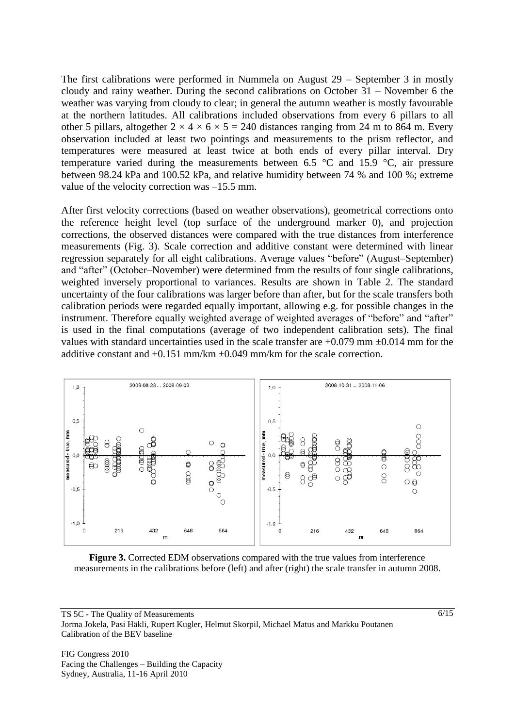The first calibrations were performed in Nummela on August 29 – September 3 in mostly cloudy and rainy weather. During the second calibrations on October 31 – November 6 the weather was varying from cloudy to clear; in general the autumn weather is mostly favourable at the northern latitudes. All calibrations included observations from every 6 pillars to all other 5 pillars, altogether  $2 \times 4 \times 6 \times 5 = 240$  distances ranging from 24 m to 864 m. Every observation included at least two pointings and measurements to the prism reflector, and temperatures were measured at least twice at both ends of every pillar interval. Dry temperature varied during the measurements between 6.5 °C and 15.9 °C, air pressure between 98.24 kPa and 100.52 kPa, and relative humidity between 74 % and 100 %; extreme value of the velocity correction was –15.5 mm.

After first velocity corrections (based on weather observations), geometrical corrections onto the reference height level (top surface of the underground marker 0), and projection corrections, the observed distances were compared with the true distances from interference measurements (Fig. 3). Scale correction and additive constant were determined with linear regression separately for all eight calibrations. Average values "before" (August–September) and "after" (October–November) were determined from the results of four single calibrations, weighted inversely proportional to variances. Results are shown in Table 2. The standard uncertainty of the four calibrations was larger before than after, but for the scale transfers both calibration periods were regarded equally important, allowing e.g. for possible changes in the instrument. Therefore equally weighted average of weighted averages of "before" and "after" is used in the final computations (average of two independent calibration sets). The final values with standard uncertainties used in the scale transfer are  $+0.079$  mm  $\pm 0.014$  mm for the additive constant and  $+0.151$  mm/km  $\pm 0.049$  mm/km for the scale correction.



**Figure 3.** Corrected EDM observations compared with the true values from interference measurements in the calibrations before (left) and after (right) the scale transfer in autumn 2008.

FIG Congress 2010 Facing the Challenges – Building the Capacity Sydney, Australia, 11-16 April 2010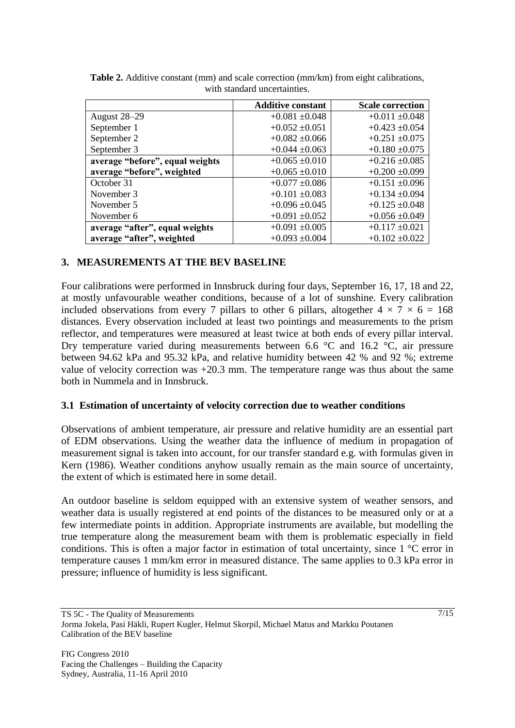|                                 | <b>Additive constant</b> | <b>Scale correction</b> |  |
|---------------------------------|--------------------------|-------------------------|--|
| August 28-29                    | $+0.081 \pm 0.048$       | $+0.011 + 0.048$        |  |
| September 1                     | $+0.052 \pm 0.051$       | $+0.423 \pm 0.054$      |  |
| September 2                     | $+0.082 \pm 0.066$       | $+0.251 \pm 0.075$      |  |
| September 3                     | $+0.044 \pm 0.063$       | $+0.180 \pm 0.075$      |  |
| average "before", equal weights | $+0.065 \pm 0.010$       | $+0.216 \pm 0.085$      |  |
| average "before", weighted      | $+0.065 \pm 0.010$       | $+0.200 \pm 0.099$      |  |
| October 31                      | $+0.077 \pm 0.086$       | $+0.151 \pm 0.096$      |  |
| November 3                      | $+0.101 \pm 0.083$       | $+0.134 \pm 0.094$      |  |
| November 5                      | $+0.096 \pm 0.045$       | $+0.125 \pm 0.048$      |  |
| November 6                      | $+0.091 \pm 0.052$       | $+0.056 \pm 0.049$      |  |
| average "after", equal weights  | $+0.091 \pm 0.005$       | $+0.117 \pm 0.021$      |  |
| average "after", weighted       | $+0.093 \pm 0.004$       | $+0.102 \pm 0.022$      |  |

**Table 2.** Additive constant (mm) and scale correction (mm/km) from eight calibrations, with standard uncertainties.

## **3. MEASUREMENTS AT THE BEV BASELINE**

Four calibrations were performed in Innsbruck during four days, September 16, 17, 18 and 22, at mostly unfavourable weather conditions, because of a lot of sunshine. Every calibration included observations from every 7 pillars to other 6 pillars, altogether  $4 \times 7 \times 6 = 168$ distances. Every observation included at least two pointings and measurements to the prism reflector, and temperatures were measured at least twice at both ends of every pillar interval. Dry temperature varied during measurements between 6.6 °C and 16.2 °C, air pressure between 94.62 kPa and 95.32 kPa, and relative humidity between 42 % and 92 %; extreme value of velocity correction was +20.3 mm. The temperature range was thus about the same both in Nummela and in Innsbruck.

## **3.1 Estimation of uncertainty of velocity correction due to weather conditions**

Observations of ambient temperature, air pressure and relative humidity are an essential part of EDM observations. Using the weather data the influence of medium in propagation of measurement signal is taken into account, for our transfer standard e.g. with formulas given in Kern (1986). Weather conditions anyhow usually remain as the main source of uncertainty, the extent of which is estimated here in some detail.

An outdoor baseline is seldom equipped with an extensive system of weather sensors, and weather data is usually registered at end points of the distances to be measured only or at a few intermediate points in addition. Appropriate instruments are available, but modelling the true temperature along the measurement beam with them is problematic especially in field conditions. This is often a major factor in estimation of total uncertainty, since 1 °C error in temperature causes 1 mm/km error in measured distance. The same applies to 0.3 kPa error in pressure; influence of humidity is less significant.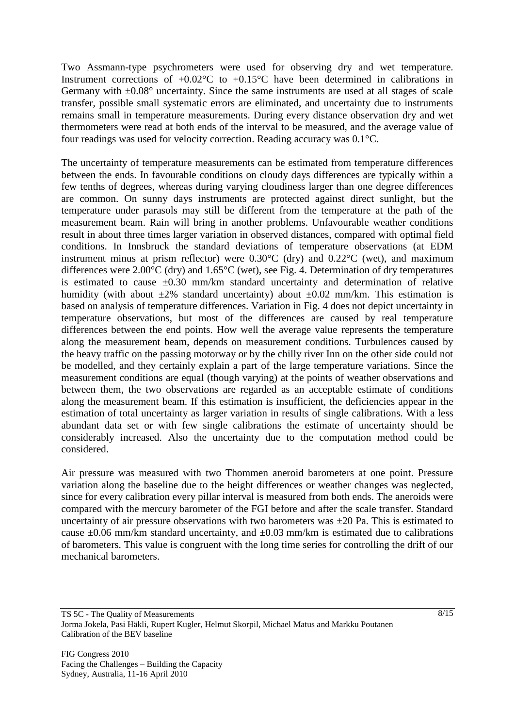Two Assmann-type psychrometers were used for observing dry and wet temperature. Instrument corrections of  $+0.02^{\circ}$ C to  $+0.15^{\circ}$ C have been determined in calibrations in Germany with  $\pm 0.08^{\circ}$  uncertainty. Since the same instruments are used at all stages of scale transfer, possible small systematic errors are eliminated, and uncertainty due to instruments remains small in temperature measurements. During every distance observation dry and wet thermometers were read at both ends of the interval to be measured, and the average value of four readings was used for velocity correction. Reading accuracy was 0.1°C.

The uncertainty of temperature measurements can be estimated from temperature differences between the ends. In favourable conditions on cloudy days differences are typically within a few tenths of degrees, whereas during varying cloudiness larger than one degree differences are common. On sunny days instruments are protected against direct sunlight, but the temperature under parasols may still be different from the temperature at the path of the measurement beam. Rain will bring in another problems. Unfavourable weather conditions result in about three times larger variation in observed distances, compared with optimal field conditions. In Innsbruck the standard deviations of temperature observations (at EDM instrument minus at prism reflector) were 0.30°C (dry) and 0.22°C (wet), and maximum differences were 2.00°C (dry) and 1.65°C (wet), see Fig. 4. Determination of dry temperatures is estimated to cause  $\pm 0.30$  mm/km standard uncertainty and determination of relative humidity (with about  $\pm 2\%$  standard uncertainty) about  $\pm 0.02$  mm/km. This estimation is based on analysis of temperature differences. Variation in Fig. 4 does not depict uncertainty in temperature observations, but most of the differences are caused by real temperature differences between the end points. How well the average value represents the temperature along the measurement beam, depends on measurement conditions. Turbulences caused by the heavy traffic on the passing motorway or by the chilly river Inn on the other side could not be modelled, and they certainly explain a part of the large temperature variations. Since the measurement conditions are equal (though varying) at the points of weather observations and between them, the two observations are regarded as an acceptable estimate of conditions along the measurement beam. If this estimation is insufficient, the deficiencies appear in the estimation of total uncertainty as larger variation in results of single calibrations. With a less abundant data set or with few single calibrations the estimate of uncertainty should be considerably increased. Also the uncertainty due to the computation method could be considered.

Air pressure was measured with two Thommen aneroid barometers at one point. Pressure variation along the baseline due to the height differences or weather changes was neglected, since for every calibration every pillar interval is measured from both ends. The aneroids were compared with the mercury barometer of the FGI before and after the scale transfer. Standard uncertainty of air pressure observations with two barometers was  $\pm 20$  Pa. This is estimated to cause  $\pm 0.06$  mm/km standard uncertainty, and  $\pm 0.03$  mm/km is estimated due to calibrations of barometers. This value is congruent with the long time series for controlling the drift of our mechanical barometers.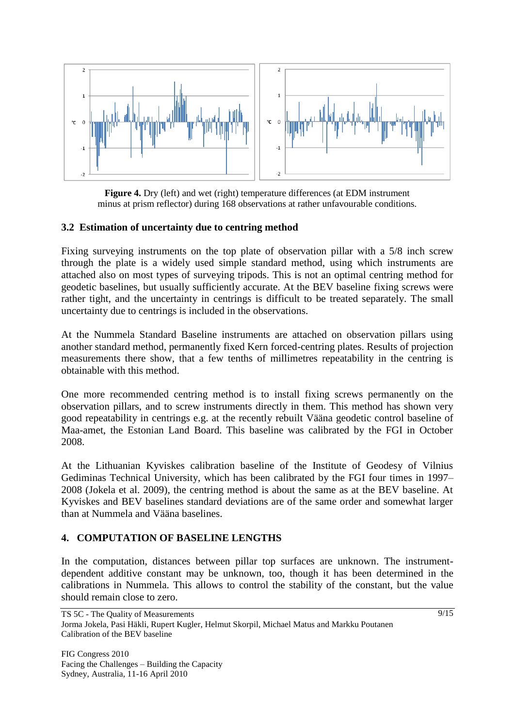

**Figure 4.** Dry (left) and wet (right) temperature differences (at EDM instrument minus at prism reflector) during 168 observations at rather unfavourable conditions.

### **3.2 Estimation of uncertainty due to centring method**

Fixing surveying instruments on the top plate of observation pillar with a 5/8 inch screw through the plate is a widely used simple standard method, using which instruments are attached also on most types of surveying tripods. This is not an optimal centring method for geodetic baselines, but usually sufficiently accurate. At the BEV baseline fixing screws were rather tight, and the uncertainty in centrings is difficult to be treated separately. The small uncertainty due to centrings is included in the observations.

At the Nummela Standard Baseline instruments are attached on observation pillars using another standard method, permanently fixed Kern forced-centring plates. Results of projection measurements there show, that a few tenths of millimetres repeatability in the centring is obtainable with this method.

One more recommended centring method is to install fixing screws permanently on the observation pillars, and to screw instruments directly in them. This method has shown very good repeatability in centrings e.g. at the recently rebuilt Vääna geodetic control baseline of Maa-amet, the Estonian Land Board. This baseline was calibrated by the FGI in October 2008.

At the Lithuanian Kyviskes calibration baseline of the Institute of Geodesy of Vilnius Gediminas Technical University, which has been calibrated by the FGI four times in 1997– 2008 (Jokela et al. 2009), the centring method is about the same as at the BEV baseline. At Kyviskes and BEV baselines standard deviations are of the same order and somewhat larger than at Nummela and Vääna baselines.

## **4. COMPUTATION OF BASELINE LENGTHS**

In the computation, distances between pillar top surfaces are unknown. The instrumentdependent additive constant may be unknown, too, though it has been determined in the calibrations in Nummela. This allows to control the stability of the constant, but the value should remain close to zero.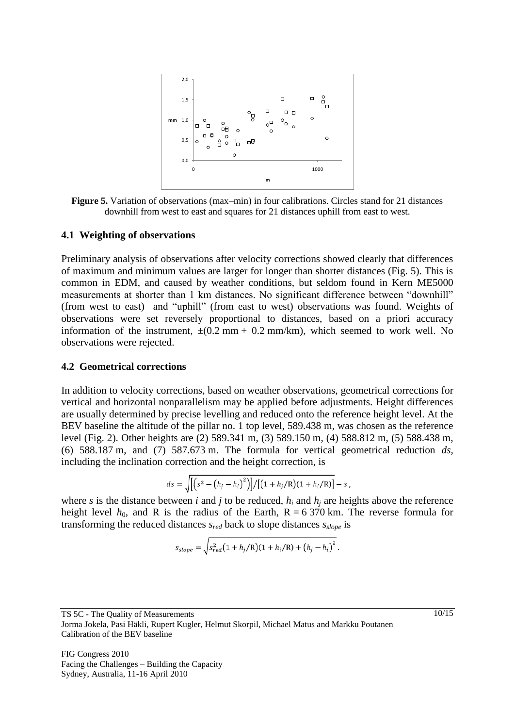

**Figure 5.** Variation of observations (max–min) in four calibrations. Circles stand for 21 distances downhill from west to east and squares for 21 distances uphill from east to west.

#### **4.1 Weighting of observations**

Preliminary analysis of observations after velocity corrections showed clearly that differences of maximum and minimum values are larger for longer than shorter distances (Fig. 5). This is common in EDM, and caused by weather conditions, but seldom found in Kern ME5000 measurements at shorter than 1 km distances. No significant difference between "downhill" (from west to east) and "uphill" (from east to west) observations was found. Weights of observations were set reversely proportional to distances, based on a priori accuracy information of the instrument,  $\pm (0.2 \text{ mm} + 0.2 \text{ mm/km})$ , which seemed to work well. No observations were rejected.

#### **4.2 Geometrical corrections**

In addition to velocity corrections, based on weather observations, geometrical corrections for vertical and horizontal nonparallelism may be applied before adjustments. Height differences are usually determined by precise levelling and reduced onto the reference height level. At the BEV baseline the altitude of the pillar no. 1 top level, 589.438 m, was chosen as the reference level (Fig. 2). Other heights are (2) 589.341 m, (3) 589.150 m, (4) 588.812 m, (5) 588.438 m, (6) 588.187 m, and (7) 587.673 m. The formula for vertical geometrical reduction *ds*, including the inclination correction and the height correction, is

$$
ds = \sqrt{\left[ \left( s^2 - \left( h_j - h_i \right)^2 \right) \right] / \left[ \left( 1 + h_j / R \right) \left( 1 + h_i / R \right) \right]} - s
$$

where *s* is the distance between *i* and *j* to be reduced,  $h_i$  and  $h_j$  are heights above the reference height level  $h_0$ , and R is the radius of the Earth,  $R = 6370$  km. The reverse formula for transforming the reduced distances *sred* back to slope distances *sslope* is

$$
s_{slope} = \sqrt{s_{red}^2 (1 + h_j/R)(1 + h_i/R) + (h_j - h_i)^2}.
$$

TS 5C - The Quality of Measurements Jorma Jokela, Pasi Häkli, Rupert Kugler, Helmut Skorpil, Michael Matus and Markku Poutanen Calibration of the BEV baseline

FIG Congress 2010 Facing the Challenges – Building the Capacity Sydney, Australia, 11-16 April 2010

10/15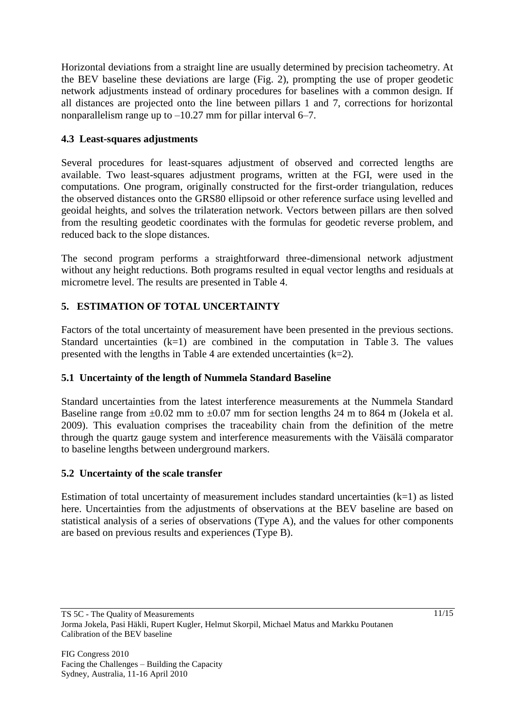Horizontal deviations from a straight line are usually determined by precision tacheometry. At the BEV baseline these deviations are large (Fig. 2), prompting the use of proper geodetic network adjustments instead of ordinary procedures for baselines with a common design. If all distances are projected onto the line between pillars 1 and 7, corrections for horizontal nonparallelism range up to –10.27 mm for pillar interval 6–7.

# **4.3 Least-squares adjustments**

Several procedures for least-squares adjustment of observed and corrected lengths are available. Two least-squares adjustment programs, written at the FGI, were used in the computations. One program, originally constructed for the first-order triangulation, reduces the observed distances onto the GRS80 ellipsoid or other reference surface using levelled and geoidal heights, and solves the trilateration network. Vectors between pillars are then solved from the resulting geodetic coordinates with the formulas for geodetic reverse problem, and reduced back to the slope distances.

The second program performs a straightforward three-dimensional network adjustment without any height reductions. Both programs resulted in equal vector lengths and residuals at micrometre level. The results are presented in Table 4.

# **5. ESTIMATION OF TOTAL UNCERTAINTY**

Factors of the total uncertainty of measurement have been presented in the previous sections. Standard uncertainties  $(k=1)$  are combined in the computation in Table 3. The values presented with the lengths in Table 4 are extended uncertainties  $(k=2)$ .

# **5.1 Uncertainty of the length of Nummela Standard Baseline**

Standard uncertainties from the latest interference measurements at the Nummela Standard Baseline range from  $\pm 0.02$  mm to  $\pm 0.07$  mm for section lengths 24 m to 864 m (Jokela et al. 2009). This evaluation comprises the traceability chain from the definition of the metre through the quartz gauge system and interference measurements with the Väisälä comparator to baseline lengths between underground markers.

# **5.2 Uncertainty of the scale transfer**

Estimation of total uncertainty of measurement includes standard uncertainties (k=1) as listed here. Uncertainties from the adjustments of observations at the BEV baseline are based on statistical analysis of a series of observations (Type A), and the values for other components are based on previous results and experiences (Type B).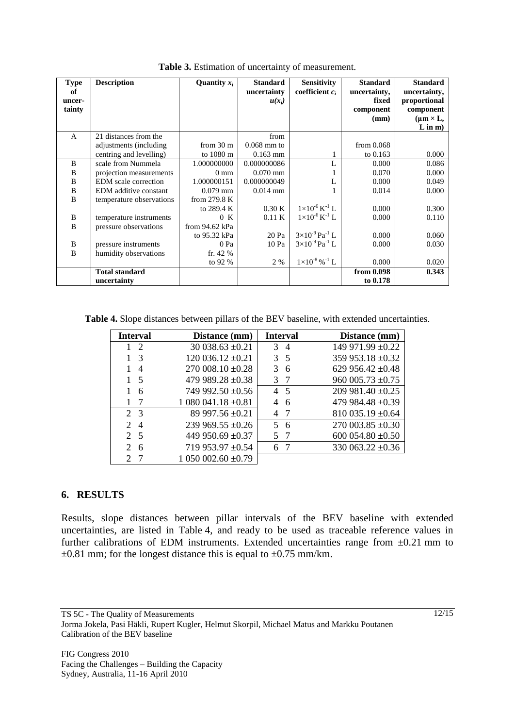| <b>Type</b><br>of<br>uncer-<br>tainty | <b>Description</b>       | Quantity $x_i$      | <b>Standard</b><br>uncertainty<br>$u(x_i)$ | <b>Sensitivity</b><br>coefficient $c_i$ | <b>Standard</b><br>uncertainty,<br>fixed<br>component<br>(mm) | <b>Standard</b><br>uncertainty,<br>proportional<br>component<br>$(\mu m \times L,$<br>$L$ in $m$ ) |
|---------------------------------------|--------------------------|---------------------|--------------------------------------------|-----------------------------------------|---------------------------------------------------------------|----------------------------------------------------------------------------------------------------|
| A                                     | 21 distances from the    |                     | from                                       |                                         |                                                               |                                                                                                    |
|                                       | adjustments (including)  | from $30 \text{ m}$ | $0.068$ mm to                              |                                         | from $0.068$                                                  |                                                                                                    |
|                                       | centring and levelling)  | to 1080 m           | $0.163$ mm                                 |                                         | to $0.163$                                                    | 0.000                                                                                              |
| B                                     | scale from Nummela       | 1.000000000         | 0.000000086                                |                                         | 0.000                                                         | 0.086                                                                                              |
| B                                     | projection measurements  | $0 \text{ mm}$      | $0.070$ mm                                 |                                         | 0.070                                                         | 0.000                                                                                              |
| B                                     | EDM scale correction     | 1.000000151         | 0.000000049                                | L                                       | 0.000                                                         | 0.049                                                                                              |
| B                                     | EDM additive constant    | $0.079$ mm          | $0.014$ mm                                 |                                         | 0.014                                                         | 0.000                                                                                              |
| B                                     | temperature observations | from $279.8 K$      |                                            |                                         |                                                               |                                                                                                    |
|                                       |                          | to 289.4 K          | 0.30K                                      | $1\times10^{-6}$ K <sup>-1</sup> L      | 0.000                                                         | 0.300                                                                                              |
| B                                     | temperature instruments  | 0 K                 | $0.11\text{ K}$                            | $1\times10^{-6}$ K <sup>-1</sup> L      | 0.000                                                         | 0.110                                                                                              |
| B                                     | pressure observations    | from 94.62 kPa      |                                            |                                         |                                                               |                                                                                                    |
|                                       |                          | to 95.32 kPa        | 20 Pa                                      | $3\times10^{-9}$ Pa <sup>-1</sup> L     | 0.000                                                         | 0.060                                                                                              |
| B                                     | pressure instruments     | 0 Pa                | 10 Pa                                      | $3\times10^{-9}$ Pa <sup>-1</sup> L     | 0.000                                                         | 0.030                                                                                              |
| B                                     | humidity observations    | fr. $42%$           |                                            |                                         |                                                               |                                                                                                    |
|                                       |                          | to 92 %             | 2 %                                        | $1\times10^{-8}$ % $^{-1}$ L            | 0.000                                                         | 0.020                                                                                              |
|                                       | <b>Total standard</b>    |                     |                                            |                                         | from 0.098                                                    | 0.343                                                                                              |
|                                       | uncertainty              |                     |                                            |                                         | to 0.178                                                      |                                                                                                    |

**Table 3.** Estimation of uncertainty of measurement.

**Table 4.** Slope distances between pillars of the BEV baseline, with extended uncertainties.

| <b>Interval</b>                  | Distance (mm)         | <b>Interval</b>     | Distance (mm)         |
|----------------------------------|-----------------------|---------------------|-----------------------|
| $1\quad 2$                       | $30038.63 \pm 0.21$   | 3<br>$\overline{4}$ | 149 971.99 ±0.22      |
| - 3                              | $120036.12 \pm 0.21$  | 3<br>5 <sup>5</sup> | 359 953.18 ±0.32      |
| 4                                | $270\,008.10\pm0.28$  | 3<br>6              | 629 956.42 $\pm$ 0.48 |
| - 5                              | 479 989.28 $\pm$ 0.38 | 3                   | $960\,005.73\pm0.75$  |
| 6                                | 749 992.50 $\pm$ 0.56 | 45                  | $209981.40 \pm 0.25$  |
| -7                               | $1080041.18 \pm 0.81$ | 6                   | 479 984.48 $\pm$ 0.39 |
| 2 3                              | 89 997.56 $\pm$ 0.21  | 4                   | $810035.19 \pm 0.64$  |
| $\mathcal{D}$<br>$\overline{4}$  | 239 969.55 $\pm$ 0.26 | 5<br>6              | $270003.85 \pm 0.30$  |
| 2 5                              | 449 950.69 ±0.37      | 5                   | 600 054.80 $\pm$ 0.50 |
| $\mathcal{D}_{\mathcal{L}}$<br>6 | 719 953.97 ±0.54      | 6                   | 330 063.22 $\pm$ 0.36 |
| $\mathcal{D}_{\mathcal{C}}$      | $1050002.60 \pm 0.79$ |                     |                       |

## **6. RESULTS**

Results, slope distances between pillar intervals of the BEV baseline with extended uncertainties, are listed in Table 4, and ready to be used as traceable reference values in further calibrations of EDM instruments. Extended uncertainties range from  $\pm 0.21$  mm to  $\pm 0.81$  mm; for the longest distance this is equal to  $\pm 0.75$  mm/km.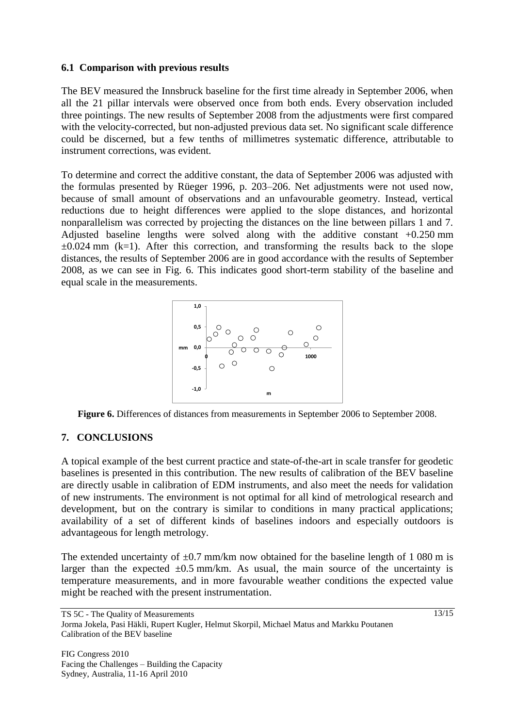### **6.1 Comparison with previous results**

The BEV measured the Innsbruck baseline for the first time already in September 2006, when all the 21 pillar intervals were observed once from both ends. Every observation included three pointings. The new results of September 2008 from the adjustments were first compared with the velocity-corrected, but non-adjusted previous data set. No significant scale difference could be discerned, but a few tenths of millimetres systematic difference, attributable to instrument corrections, was evident.

To determine and correct the additive constant, the data of September 2006 was adjusted with the formulas presented by Rüeger 1996, p. 203–206. Net adjustments were not used now, because of small amount of observations and an unfavourable geometry. Instead, vertical reductions due to height differences were applied to the slope distances, and horizontal nonparallelism was corrected by projecting the distances on the line between pillars 1 and 7. Adjusted baseline lengths were solved along with the additive constant +0.250 mm  $\pm 0.024$  mm (k=1). After this correction, and transforming the results back to the slope distances, the results of September 2006 are in good accordance with the results of September 2008, as we can see in Fig. 6. This indicates good short-term stability of the baseline and equal scale in the measurements.





## **7. CONCLUSIONS**

A topical example of the best current practice and state-of-the-art in scale transfer for geodetic baselines is presented in this contribution. The new results of calibration of the BEV baseline are directly usable in calibration of EDM instruments, and also meet the needs for validation of new instruments. The environment is not optimal for all kind of metrological research and development, but on the contrary is similar to conditions in many practical applications; availability of a set of different kinds of baselines indoors and especially outdoors is advantageous for length metrology.

The extended uncertainty of  $\pm 0.7$  mm/km now obtained for the baseline length of 1 080 m is larger than the expected  $\pm 0.5$  mm/km. As usual, the main source of the uncertainty is temperature measurements, and in more favourable weather conditions the expected value might be reached with the present instrumentation.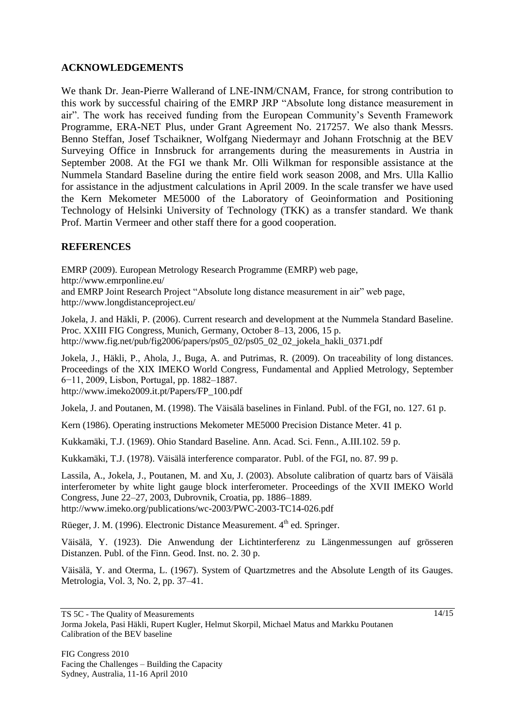### **ACKNOWLEDGEMENTS**

We thank Dr. Jean-Pierre Wallerand of LNE-INM/CNAM, France, for strong contribution to this work by successful chairing of the EMRP JRP "Absolute long distance measurement in air". The work has received funding from the European Community's Seventh Framework Programme, ERA-NET Plus, under Grant Agreement No. 217257. We also thank Messrs. Benno Steffan, Josef Tschaikner, Wolfgang Niedermayr and Johann Frotschnig at the BEV Surveying Office in Innsbruck for arrangements during the measurements in Austria in September 2008. At the FGI we thank Mr. Olli Wilkman for responsible assistance at the Nummela Standard Baseline during the entire field work season 2008, and Mrs. Ulla Kallio for assistance in the adjustment calculations in April 2009. In the scale transfer we have used the Kern Mekometer ME5000 of the Laboratory of Geoinformation and Positioning Technology of Helsinki University of Technology (TKK) as a transfer standard. We thank Prof. Martin Vermeer and other staff there for a good cooperation.

### **REFERENCES**

EMRP (2009). European Metrology Research Programme (EMRP) web page, http://www.emrponline.eu/ and EMRP Joint Research Project "Absolute long distance measurement in air" web page, http://www.longdistanceproject.eu/

Jokela, J. and Häkli, P. (2006). Current research and development at the Nummela Standard Baseline. Proc. XXIII FIG Congress, Munich, Germany, October 8–13, 2006, 15 p. http://www.fig.net/pub/fig2006/papers/ps05\_02/ps05\_02\_02\_jokela\_hakli\_0371.pdf

Jokela, J., Häkli, P., Ahola, J., Buga, A. and Putrimas, R. (2009). On traceability of long distances. Proceedings of the XIX IMEKO World Congress, Fundamental and Applied Metrology, September 6−11, 2009, Lisbon, Portugal, pp. 1882–1887.

http://www.imeko2009.it.pt/Papers/FP\_100.pdf

Jokela, J. and Poutanen, M. (1998). The Väisälä baselines in Finland. Publ. of the FGI, no. 127. 61 p.

Kern (1986). Operating instructions Mekometer ME5000 Precision Distance Meter. 41 p.

Kukkamäki, T.J. (1969). Ohio Standard Baseline. Ann. Acad. Sci. Fenn., A.III.102. 59 p.

Kukkamäki, T.J. (1978). Väisälä interference comparator. Publ. of the FGI, no. 87. 99 p.

Lassila, A., Jokela, J., Poutanen, M. and Xu, J. (2003). Absolute calibration of quartz bars of Väisälä interferometer by white light gauge block interferometer. Proceedings of the XVII IMEKO World Congress, June 22–27, 2003, Dubrovnik, Croatia, pp. 1886–1889. http://www.imeko.org/publications/wc-2003/PWC-2003-TC14-026.pdf

Rüeger, J. M. (1996). Electronic Distance Measurement.  $4<sup>th</sup>$  ed. Springer.

Väisälä, Y. (1923). Die Anwendung der Lichtinterferenz zu Längenmessungen auf grösseren Distanzen. Publ. of the Finn. Geod. Inst. no. 2. 30 p.

Väisälä, Y. and Oterma, L. (1967). System of Quartzmetres and the Absolute Length of its Gauges. Metrologia, Vol. 3, No. 2, pp. 37–41.